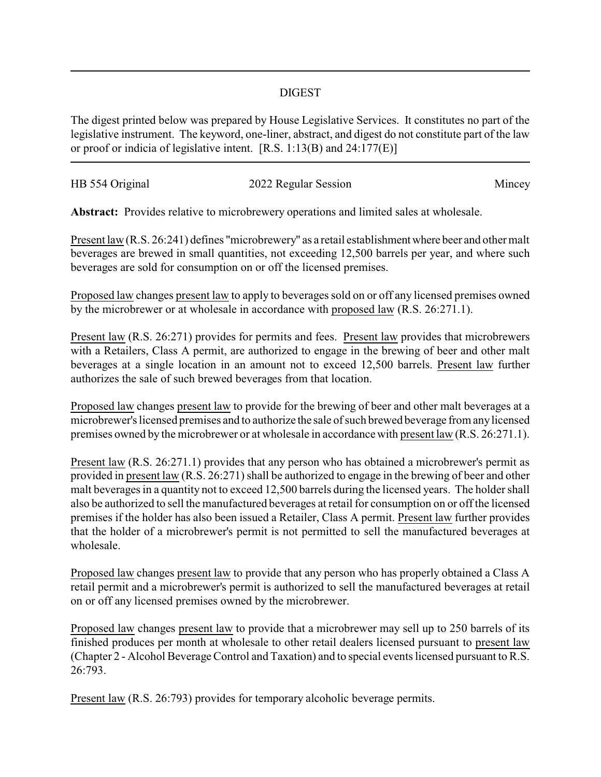## DIGEST

The digest printed below was prepared by House Legislative Services. It constitutes no part of the legislative instrument. The keyword, one-liner, abstract, and digest do not constitute part of the law or proof or indicia of legislative intent. [R.S. 1:13(B) and 24:177(E)]

| HB 554 Original | 2022 Regular Session | Mincey |
|-----------------|----------------------|--------|
|                 |                      |        |

**Abstract:** Provides relative to microbrewery operations and limited sales at wholesale.

Present law (R.S. 26:241) defines "microbrewery" as a retail establishment where beer and other malt beverages are brewed in small quantities, not exceeding 12,500 barrels per year, and where such beverages are sold for consumption on or off the licensed premises.

Proposed law changes present law to apply to beverages sold on or off any licensed premises owned by the microbrewer or at wholesale in accordance with proposed law (R.S. 26:271.1).

Present law (R.S. 26:271) provides for permits and fees. Present law provides that microbrewers with a Retailers, Class A permit, are authorized to engage in the brewing of beer and other malt beverages at a single location in an amount not to exceed 12,500 barrels. Present law further authorizes the sale of such brewed beverages from that location.

Proposed law changes present law to provide for the brewing of beer and other malt beverages at a microbrewer's licensed premises and to authorize the sale of such brewed beverage from anylicensed premises owned by the microbrewer or at wholesale in accordance with present law (R.S. 26:271.1).

Present law (R.S. 26:271.1) provides that any person who has obtained a microbrewer's permit as provided in present law (R.S. 26:271) shall be authorized to engage in the brewing of beer and other malt beverages in a quantity not to exceed 12,500 barrels during the licensed years. The holder shall also be authorized to sell the manufactured beverages at retail for consumption on or off the licensed premises if the holder has also been issued a Retailer, Class A permit. Present law further provides that the holder of a microbrewer's permit is not permitted to sell the manufactured beverages at wholesale.

Proposed law changes present law to provide that any person who has properly obtained a Class A retail permit and a microbrewer's permit is authorized to sell the manufactured beverages at retail on or off any licensed premises owned by the microbrewer.

Proposed law changes present law to provide that a microbrewer may sell up to 250 barrels of its finished produces per month at wholesale to other retail dealers licensed pursuant to present law (Chapter 2 - Alcohol Beverage Control and Taxation) and to special events licensed pursuant to R.S. 26:793.

Present law (R.S. 26:793) provides for temporary alcoholic beverage permits.